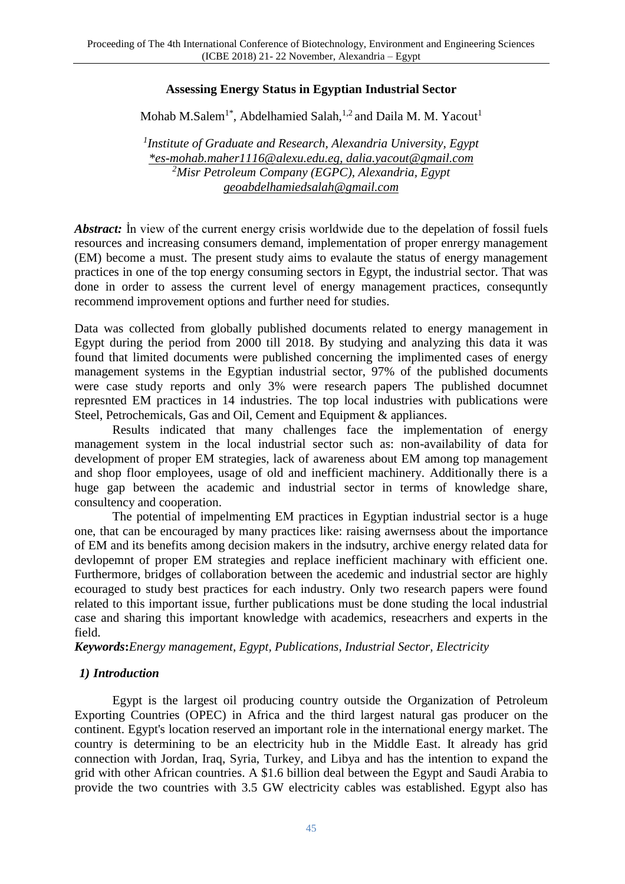## **Assessing Energy Status in Egyptian Industrial Sector**

Mohab M.Salem $^{\rm 1*}$ , Abdelhamied Salah, $^{\rm 1,2}$  and Daila M. M. Yacout $^{\rm 1}$ 

*1 Institute of Graduate and Research, Alexandria University, Egypt [\\*es-mohab.maher1116@alexu.edu.eg,](mailto:*es-mohab.maher1116@alexu.edu.eg) [dalia.yacout@gmail.com](mailto:dalia.yacout@gmail.com) <sup>2</sup>Misr Petroleum Company (EGPC), Alexandria, Egypt [geoabdelhamiedsalah@gmail.com](mailto:geoabdelhamiedsalah@gmail.com)*

*Abstract:* In view of the current energy crisis worldwide due to the depelation of fossil fuels resources and increasing consumers demand, implementation of proper enrergy management (EM) become a must. The present study aims to evalaute the status of energy management practices in one of the top energy consuming sectors in Egypt, the industrial sector. That was done in order to assess the current level of energy management practices, consequntly recommend improvement options and further need for studies.

Data was collected from globally published documents related to energy management in Egypt during the period from 2000 till 2018. By studying and analyzing this data it was found that limited documents were published concerning the implimented cases of energy management systems in the Egyptian industrial sector, 97% of the published documents were case study reports and only 3% were research papers The published documnet represnted EM practices in 14 industries. The top local industries with publications were Steel, Petrochemicals, Gas and Oil, Cement and Equipment & appliances.

Results indicated that many challenges face the implementation of energy management system in the local industrial sector such as: non-availability of data for development of proper EM strategies, lack of awareness about EM among top management and shop floor employees, usage of old and inefficient machinery. Additionally there is a huge gap between the academic and industrial sector in terms of knowledge share, consultency and cooperation.

The potential of impelmenting EM practices in Egyptian industrial sector is a huge one, that can be encouraged by many practices like: raising awernsess about the importance of EM and its benefits among decision makers in the indsutry, archive energy related data for devlopemnt of proper EM strategies and replace inefficient machinary with efficient one. Furthermore, bridges of collaboration between the acedemic and industrial sector are highly ecouraged to study best practices for each industry. Only two research papers were found related to this important issue, further publications must be done studing the local industrial case and sharing this important knowledge with academics, reseacrhers and experts in the field.

*Keywords***:***Energy management, Egypt, Publications, Industrial Sector, Electricity*

### *1) Introduction*

Egypt is the largest oil producing country outside the Organization of Petroleum Exporting Countries (OPEC) in Africa and the third largest natural gas producer on the continent. Egypt's location reserved an important role in the international energy market. The country is determining to be an electricity hub in the Middle East. It already has grid connection with Jordan, Iraq, Syria, Turkey, and Libya and has the intention to expand the grid with other African countries. A \$1.6 billion deal between the Egypt and Saudi Arabia to provide the two countries with 3.5 GW electricity cables was established. Egypt also has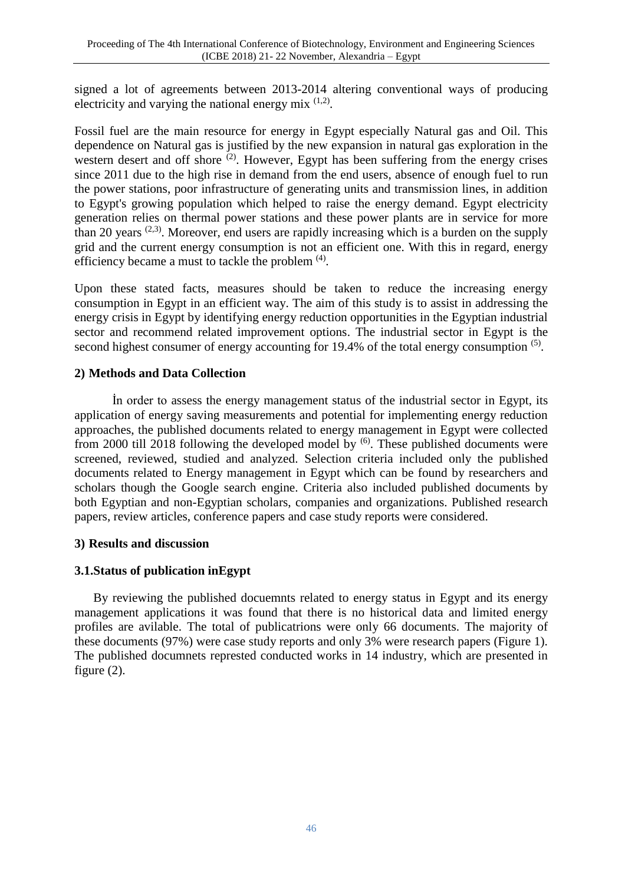signed a lot of agreements between 2013-2014 altering conventional ways of producing electricity and varying the national energy mix  $(1,2)$ .

Fossil fuel are the main resource for energy in Egypt especially Natural gas and Oil. This dependence on Natural gas is justified by the new expansion in natural gas exploration in the western desert and off shore  $(2)$ . However, Egypt has been suffering from the energy crises since 2011 due to the high rise in demand from the end users, absence of enough fuel to run the power stations, poor infrastructure of generating units and transmission lines, in addition to Egypt's growing population which helped to raise the energy demand. Egypt electricity generation relies on thermal power stations and these power plants are in service for more than 20 years  $(2,3)$ . Moreover, end users are rapidly increasing which is a burden on the supply grid and the current energy consumption is not an efficient one. With this in regard, energy efficiency became a must to tackle the problem  $(4)$ .

Upon these stated facts, measures should be taken to reduce the increasing energy consumption in Egypt in an efficient way. The aim of this study is to assist in addressing the energy crisis in Egypt by identifying energy reduction opportunities in the Egyptian industrial sector and recommend related improvement options. The industrial sector in Egypt is the second highest consumer of energy accounting for 19.4% of the total energy consumption <sup>(5)</sup>.

### **2) Methods and Data Collection**

İn order to assess the energy management status of the industrial sector in Egypt, its application of energy saving measurements and potential for implementing energy reduction approaches, the published documents related to energy management in Egypt were collected from 2000 till 2018 following the developed model by  $(6)$ . These published documents were screened, reviewed, studied and analyzed. Selection criteria included only the published documents related to Energy management in Egypt which can be found by researchers and scholars though the Google search engine. Criteria also included published documents by both Egyptian and non-Egyptian scholars, companies and organizations. Published research papers, review articles, conference papers and case study reports were considered.

### **3) Results and discussion**

# **3.1.Status of publication inEgypt**

By reviewing the published docuemnts related to energy status in Egypt and its energy management applications it was found that there is no historical data and limited energy profiles are avilable. The total of publicatrions were only 66 documents. The majority of these documents (97%) were case study reports and only 3% were research papers (Figure 1). The published documnets represted conducted works in 14 industry, which are presented in figure (2).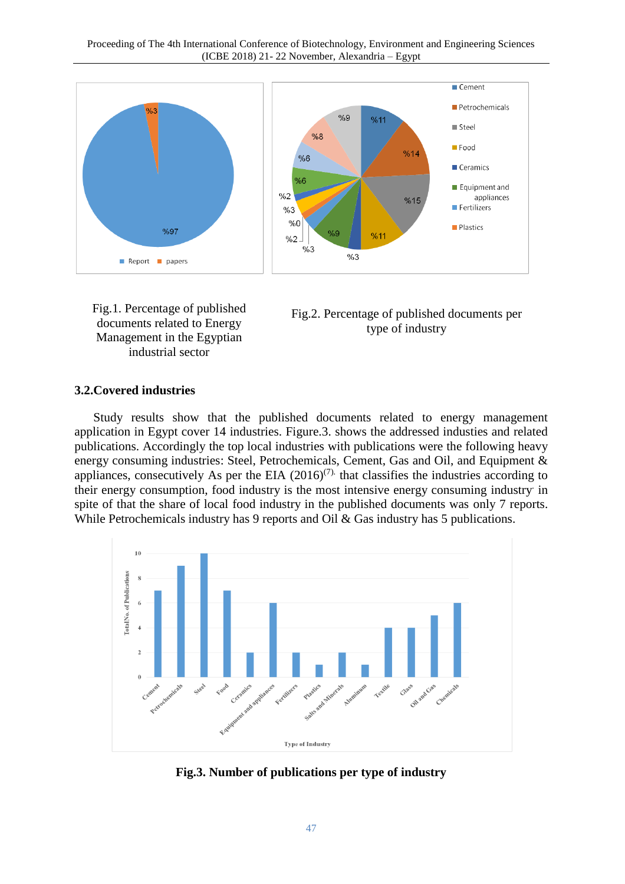





#### **3.2.Covered industries**

Study results show that the published documents related to energy management application in Egypt cover 14 industries. Figure.3. shows the addressed industies and related publications. Accordingly the top local industries with publications were the following heavy energy consuming industries: Steel, Petrochemicals, Cement, Gas and Oil, and Equipment & appliances, consecutively As per the EIA  $(2016)^{(7)}$  that classifies the industries according to their energy consumption, food industry is the most intensive energy consuming industry. in spite of that the share of local food industry in the published documents was only 7 reports. While Petrochemicals industry has 9 reports and Oil & Gas industry has 5 publications.



**Fig.3. Number of publications per type of industry**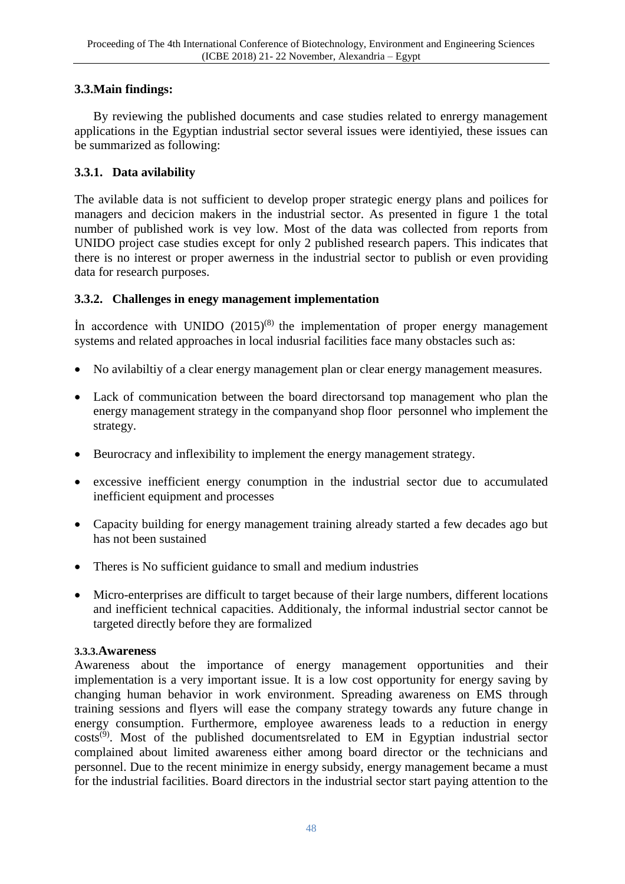# **3.3.Main findings:**

By reviewing the published documents and case studies related to enrergy management applications in the Egyptian industrial sector several issues were identiyied, these issues can be summarized as following:

# **3.3.1. Data avilability**

The avilable data is not sufficient to develop proper strategic energy plans and poilices for managers and decicion makers in the industrial sector. As presented in figure 1 the total number of published work is vey low. Most of the data was collected from reports from UNIDO project case studies except for only 2 published research papers. This indicates that there is no interest or proper awerness in the industrial sector to publish or even providing data for research purposes.

# **3.3.2. Challenges in enegy management implementation**

In accordence with UNIDO  $(2015)^{(8)}$  the implementation of proper energy management systems and related approaches in local indusrial facilities face many obstacles such as:

- No avilabiltiy of a clear energy management plan or clear energy management measures.
- Lack of communication between the board directorsand top management who plan the energy management strategy in the companyand shop floor personnel who implement the strategy.
- Beurocracy and inflexibility to implement the energy management strategy.
- excessive inefficient energy conumption in the industrial sector due to accumulated inefficient equipment and processes
- Capacity building for energy management training already started a few decades ago but has not been sustained
- Theres is No sufficient guidance to small and medium industries
- Micro-enterprises are difficult to target because of their large numbers, different locations and inefficient technical capacities. Additionaly, the informal industrial sector cannot be targeted directly before they are formalized

### **3.3.3.[Awareness](file:///C:/Users/NEC035/AppData/Roaming/Microsoft/Word/Kennedy%20Handbook.pdf)**

Awareness [about the importance of energy management opportunities and their](file:///C:/Users/NEC035/AppData/Roaming/Microsoft/Word/Kennedy%20Handbook.pdf) implementation [is a very important issue. It is a low cost opportunity for energy saving by](file:///C:/Users/NEC035/AppData/Roaming/Microsoft/Word/Kennedy%20Handbook.pdf)  changing human behavior [in work environment. Spreading awareness on EMS through](file:///C:/Users/NEC035/AppData/Roaming/Microsoft/Word/Kennedy%20Handbook.pdf)  training sessions [and flyers will ease the company strategy towards](file:///C:/Users/NEC035/AppData/Roaming/Microsoft/Word/Kennedy%20Handbook.pdf) any future change in energy consumption. [Furthermore, employee awareness leads to a reduction in energy](file:///C:/Users/NEC035/AppData/Roaming/Microsoft/Word/Kennedy%20Handbook.pdf)  [costs](file:///C:/Users/NEC035/AppData/Roaming/Microsoft/Word/Kennedy%20Handbook.pdf)<sup>(9)</sup>. Most of the published documentsrelated to EM in Egyptian industrial sector complained about limited awareness either among board director or the technicians and personnel. Due to the recent minimize in energy subsidy, energy management became a must for the industrial facilities. Board directors in the industrial sector start paying attention to the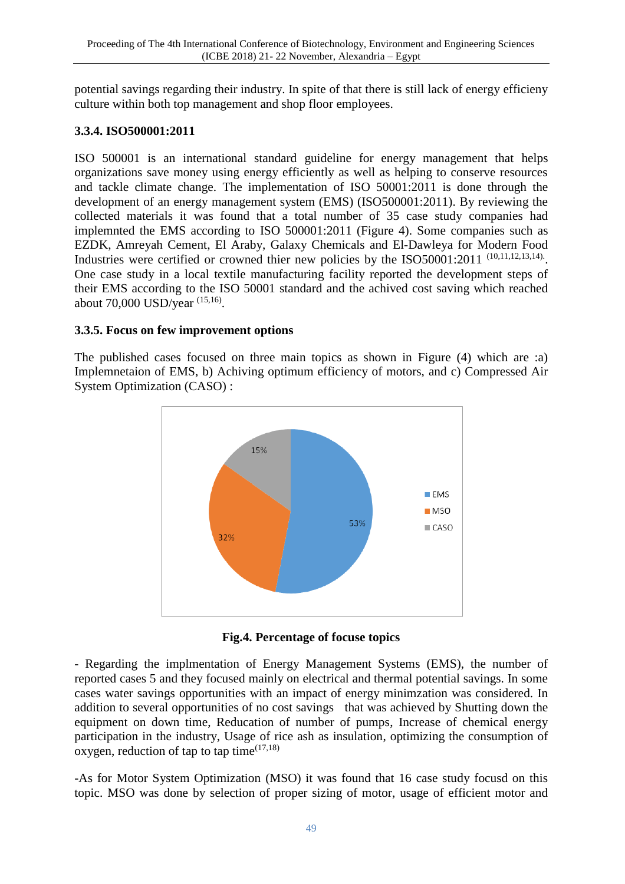potential savings regarding their industry. In spite of that there is still lack of energy efficieny culture within both top management and shop floor employees.

# **3.3.4. ISO500001:2011**

ISO 500001 is an international standard guideline for energy management that helps organizations save money using energy efficiently as well as helping to conserve resources and tackle climate change. The implementation of ISO 50001:2011 is done through the development of an energy management system (EMS) (ISO500001:2011). By reviewing the collected materials it was found that a total number of 35 case study companies had implemnted the EMS according to ISO 500001:2011 (Figure 4). Some companies such as EZDK, Amreyah Cement, El Araby, Galaxy Chemicals and El-Dawleya for Modern Food Industries were certified or crowned thier new policies by the  $ISO50001:2011$   $(10,11,12,13,14)$ . One case study in a local textile manufacturing facility reported the development steps of their EMS according to the ISO 50001 standard and the achived cost saving which reached about 70,000 USD/year <sup>(15,16)</sup>.

# **3.3.5. Focus on few improvement options**

The published cases focused on three main topics as shown in Figure (4) which are :a) Implemnetaion of EMS, b) Achiving optimum efficiency of motors, and c) Compressed Air System Optimization (CASO) :



**Fig.4. Percentage of focuse topics** 

- Regarding the implmentation of Energy Management Systems (EMS), the number of reported cases 5 and they focused mainly on electrical and thermal potential savings. In some cases water savings opportunities with an impact of energy minimzation was considered. In addition to several opportunities of no cost savings that was achieved by Shutting down the equipment on down time, Reducation of number of pumps, Increase of chemical energy participation in the industry, Usage of rice ash as insulation, optimizing the consumption of oxygen, reduction of tap to tap time $(17,18)$ 

-As for Motor System Optimization (MSO) it was found that 16 case study focusd on this topic. MSO was done by selection of proper sizing of motor, usage of efficient motor and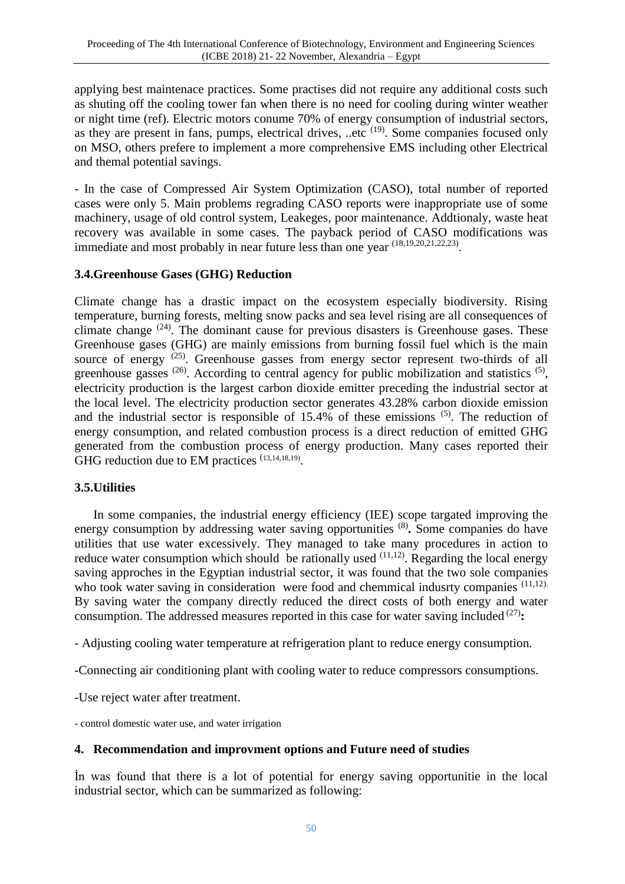applying best maintenace practices. Some practises did not require any additional costs such as shuting off the cooling tower fan when there is no need for cooling during winter weather or night time (ref). Electric motors conume 70% of energy consumption of industrial sectors, as they are present in fans, pumps, electrical drives, ..etc <sup>(19)</sup>. Some companies focused only on MSO, others prefere to implement a more comprehensive EMS including other Electrical and themal potential savings.

- In the case of Compressed Air System Optimization (CASO), total number of reported cases were only 5. Main problems regrading CASO reports were inappropriate use of some machinery, usage of old control system, Leakeges, poor maintenance. Addtionaly, waste heat recovery was available in some cases. The payback period of CASO modifications was immediate and most probably in near future less than one year  $(18,19,20,21,22,23)$ .

## **3.4.Greenhouse Gases (GHG) Reduction**

Climate change has a drastic impact on the ecosystem especially biodiversity. Rising temperature, burning forests, melting snow packs and sea level rising are all consequences of climate change  $(24)$ . The dominant cause for previous disasters is Greenhouse gases. These Greenhouse gases (GHG) are mainly emissions from burning fossil fuel which is the main source of energy <sup>(25)</sup>. Greenhouse gasses from energy sector represent two-thirds of all greenhouse gasses  $(26)$ . According to central agency for public mobilization and statistics  $(5)$ , electricity production is the largest carbon dioxide emitter preceding the industrial sector at the local level. The electricity production sector generates 43.28% carbon dioxide emission and the industrial sector is responsible of  $15.4\%$  of these emissions  $(5)$ . The reduction of energy consumption, and related combustion process is a direct reduction of emitted GHG generated from the combustion process of energy production. Many cases reported their GHG reduction due to EM practices  $(13,14,18,19)$ .

#### **3.5.Utilities**

In some companies, the industrial energy efficiency (IEE) scope targated improving the energy consumption by addressing water saving opportunities <sup>(8)</sup>. Some companies do have utilities that use water excessively. They managed to take many procedures in action to reduce water consumption which should be rationally used  $(11,12)$ . Regarding the local energy saving approches in the Egyptian industrial sector, it was found that the two sole companies who took water saving in consideration were food and chemmical indusrty companies (11,12). By saving water the company directly reduced the direct costs of both energy and water consumption. The addressed measures reported in this case for water saving included <sup>(27)</sup>:

- Adjusting cooling water temperature at refrigeration plant to reduce energy consumption.

-Connecting air conditioning plant with cooling water to reduce compressors consumptions.

-Use reject water after treatment.

- control domestic water use, and water irrigation

#### **4. Recommendation and improvment options and Future need of studies**

İn was found that there is a lot of potential for energy saving opportunitie in the local industrial sector, which can be summarized as following: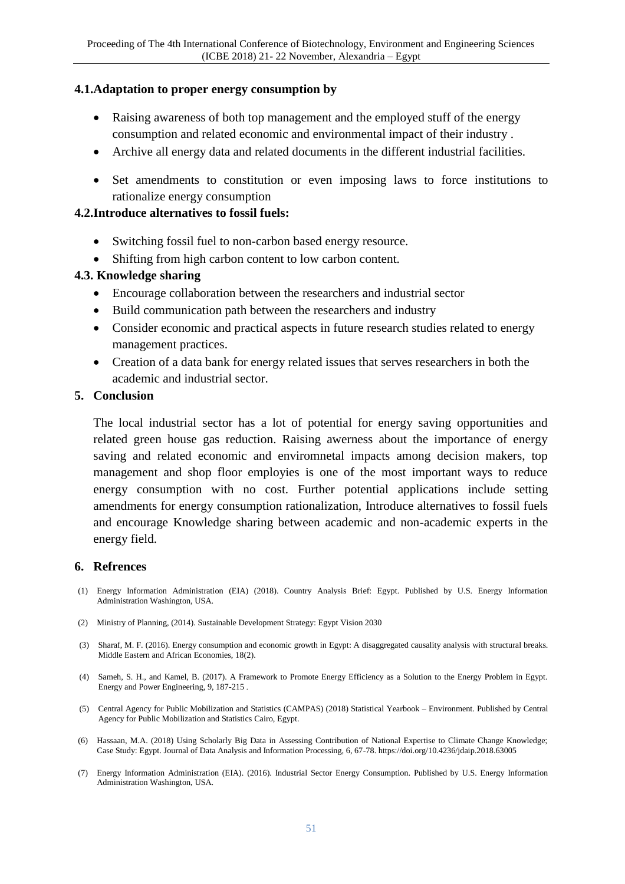## **4.1.Adaptation to proper energy consumption by**

- Raising awareness of both top management and the employed stuff of the energy consumption and related economic and environmental impact of their industry .
- Archive all energy data and related documents in the different industrial facilities.
- Set amendments to constitution or even imposing laws to force institutions to rationalize energy consumption

## **4.2.Introduce alternatives to fossil fuels:**

- Switching fossil fuel to non-carbon based energy resource.
- Shifting from high carbon content to low carbon content.

## **4.3. Knowledge sharing**

- Encourage collaboration between the researchers and industrial sector
- Build communication path between the researchers and industry
- Consider economic and practical aspects in future research studies related to energy management practices.
- Creation of a data bank for energy related issues that serves researchers in both the academic and industrial sector.

### **5. Conclusion**

The local industrial sector has a lot of potential for energy saving opportunities and related green house gas reduction. Raising awerness about the importance of energy saving and related economic and enviromnetal impacts among decision makers, top management and shop floor employies is one of the most important ways to reduce energy consumption with no cost. Further potential applications include setting amendments for energy consumption rationalization, Introduce alternatives to fossil fuels and encourage Knowledge sharing between academic and non-academic experts in the energy field.

### **6. Refrences**

- (1) Energy Information Administration (EIA) (2018). Country Analysis Brief: Egypt. Published by U.S. Energy Information Administration Washington, USA.
- (2) Ministry of Planning, (2014). Sustainable Development Strategy: Egypt Vision 2030
- (3) Sharaf, M. F. (2016). Energy consumption and economic growth in Egypt: A disaggregated causality analysis with structural breaks. Middle Eastern and African Economies, 18(2).
- (4) Sameh, S. H., and Kamel, B. (2017). A Framework to Promote Energy Efficiency as a Solution to the Energy Problem in Egypt. Energy and Power Engineering, 9, 187-215 .
- (5) Central Agency for Public Mobilization and Statistics (CAMPAS) (2018) Statistical Yearbook Environment. Published by Central Agency for Public Mobilization and Statistics Cairo, Egypt.
- (6) Hassaan, M.A. (2018) Using Scholarly Big Data in Assessing Contribution of National Expertise to Climate Change Knowledge; Case Study: Egypt. Journal of Data Analysis and Information Processing, 6, 67-78. https://doi.org/10.4236/jdaip.2018.63005
- (7) Energy Information Administration (EIA). (2016). Industrial Sector Energy Consumption. Published by U.S. Energy Information Administration Washington, USA.